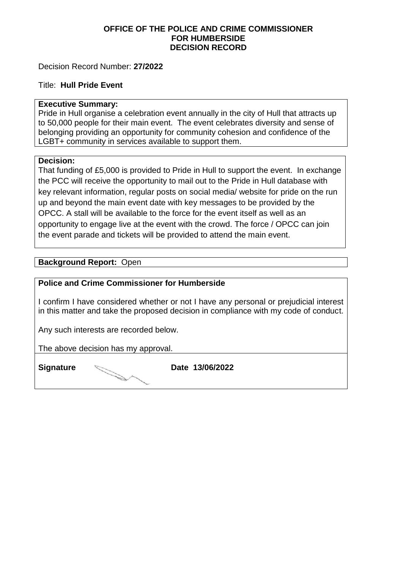## **OFFICE OF THE POLICE AND CRIME COMMISSIONER FOR HUMBERSIDE DECISION RECORD**

## Decision Record Number: **27/2022**

#### Title: **Hull Pride Event**

#### **Executive Summary:**

Pride in Hull organise a celebration event annually in the city of Hull that attracts up to 50,000 people for their main event. The event celebrates diversity and sense of belonging providing an opportunity for community cohesion and confidence of the LGBT+ community in services available to support them.

#### **Decision:**

That funding of £5,000 is provided to Pride in Hull to support the event. In exchange the PCC will receive the opportunity to mail out to the Pride in Hull database with key relevant information, regular posts on social media/ website for pride on the run up and beyond the main event date with key messages to be provided by the OPCC. A stall will be available to the force for the event itself as well as an opportunity to engage live at the event with the crowd. The force / OPCC can join the event parade and tickets will be provided to attend the main event.

#### **Background Report:** Open

#### **Police and Crime Commissioner for Humberside**

I confirm I have considered whether or not I have any personal or prejudicial interest in this matter and take the proposed decision in compliance with my code of conduct.

Any such interests are recorded below.

The above decision has my approval.

**Signature Date 13/06/2022**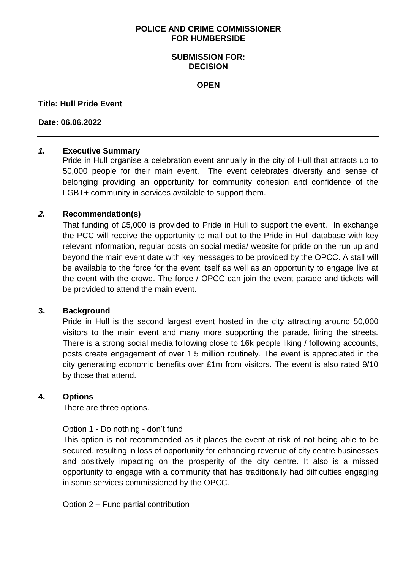#### **POLICE AND CRIME COMMISSIONER FOR HUMBERSIDE**

### **SUBMISSION FOR: DECISION**

**OPEN**

#### **Title: Hull Pride Event**

#### **Date: 06.06.2022**

## *1.* **Executive Summary**

Pride in Hull organise a celebration event annually in the city of Hull that attracts up to 50,000 people for their main event. The event celebrates diversity and sense of belonging providing an opportunity for community cohesion and confidence of the LGBT+ community in services available to support them.

## *2.* **Recommendation(s)**

That funding of £5,000 is provided to Pride in Hull to support the event. In exchange the PCC will receive the opportunity to mail out to the Pride in Hull database with key relevant information, regular posts on social media/ website for pride on the run up and beyond the main event date with key messages to be provided by the OPCC. A stall will be available to the force for the event itself as well as an opportunity to engage live at the event with the crowd. The force / OPCC can join the event parade and tickets will be provided to attend the main event.

## **3. Background**

Pride in Hull is the second largest event hosted in the city attracting around 50,000 visitors to the main event and many more supporting the parade, lining the streets. There is a strong social media following close to 16k people liking / following accounts, posts create engagement of over 1.5 million routinely. The event is appreciated in the city generating economic benefits over £1m from visitors. The event is also rated 9/10 by those that attend.

## **4. Options**

There are three options.

## Option 1 - Do nothing - don't fund

This option is not recommended as it places the event at risk of not being able to be secured, resulting in loss of opportunity for enhancing revenue of city centre businesses and positively impacting on the prosperity of the city centre. It also is a missed opportunity to engage with a community that has traditionally had difficulties engaging in some services commissioned by the OPCC.

Option 2 – Fund partial contribution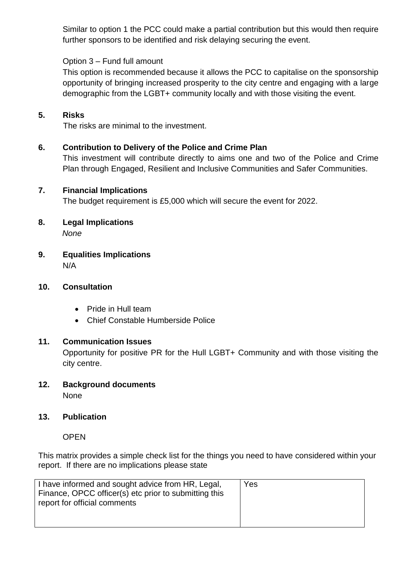Similar to option 1 the PCC could make a partial contribution but this would then require further sponsors to be identified and risk delaying securing the event.

# Option 3 – Fund full amount

This option is recommended because it allows the PCC to capitalise on the sponsorship opportunity of bringing increased prosperity to the city centre and engaging with a large demographic from the LGBT+ community locally and with those visiting the event.

## **5. Risks**

The risks are minimal to the investment.

## **6. Contribution to Delivery of the Police and Crime Plan**

This investment will contribute directly to aims one and two of the Police and Crime Plan through Engaged, Resilient and Inclusive Communities and Safer Communities.

## **7. Financial Implications**

The budget requirement is £5,000 which will secure the event for 2022.

- **8. Legal Implications** *None*
- **9. Equalities Implications** N/A

## **10. Consultation**

- Pride in Hull team
- Chief Constable Humberside Police

## **11. Communication Issues**

Opportunity for positive PR for the Hull LGBT+ Community and with those visiting the city centre.

**12. Background documents** None

# **13. Publication**

OPEN

This matrix provides a simple check list for the things you need to have considered within your report. If there are no implications please state

| I have informed and sought advice from HR, Legal,<br>Yes<br>Finance, OPCC officer(s) etc prior to submitting this<br>report for official comments |
|---------------------------------------------------------------------------------------------------------------------------------------------------|
|---------------------------------------------------------------------------------------------------------------------------------------------------|